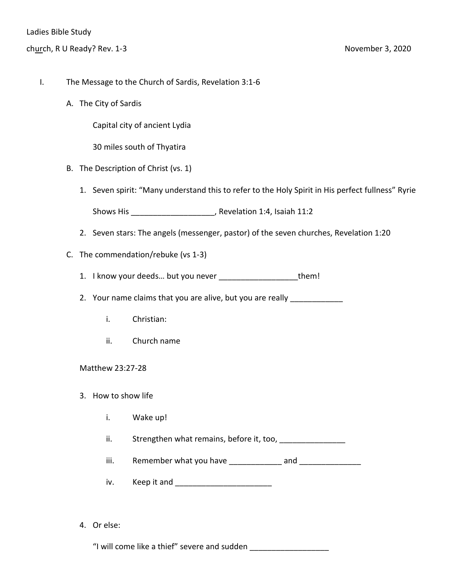- I. The Message to the Church of Sardis, Revelation 3:1-6
	- A. The City of Sardis

Capital city of ancient Lydia

30 miles south of Thyatira

- B. The Description of Christ (vs. 1)
	- 1. Seven spirit: "Many understand this to refer to the Holy Spirit in His perfect fullness" Ryrie

Shows His \_\_\_\_\_\_\_\_\_\_\_\_\_\_\_\_\_\_\_, Revelation 1:4, Isaiah 11:2

- 2. Seven stars: The angels (messenger, pastor) of the seven churches, Revelation 1:20
- C. The commendation/rebuke (vs 1-3)
	- 1. I know your deeds... but you never example them!

2. Your name claims that you are alive, but you are really **constantly** 

- i. Christian:
- ii. Church name

Matthew 23:27-28

- 3. How to show life
	- i. Wake up!
	- ii. Strengthen what remains, before it, too, successive states in the state of the state of the state of the s
	- iii. Remember what you have \_\_\_\_\_\_\_\_\_\_\_\_ and \_\_\_\_\_\_\_\_\_\_\_\_\_\_
	- iv. Keep it and **Example 20**
- 4. Or else:

"I will come like a thief" severe and sudden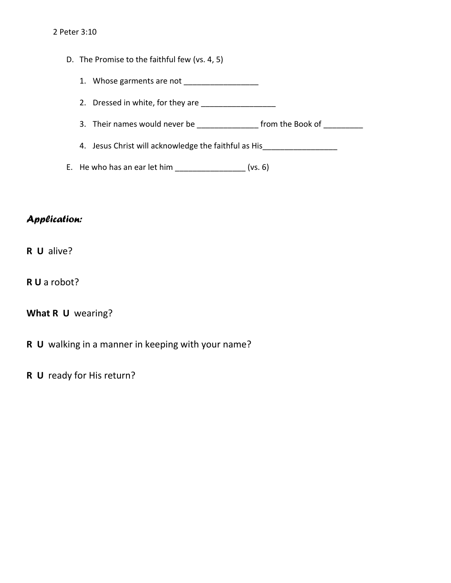- D. The Promise to the faithful few (vs. 4, 5)
	- 1. Whose garments are not
	- 2. Dressed in white, for they are \_\_\_\_\_\_\_\_\_\_\_\_\_\_\_\_\_
	- 3. Their names would never be \_\_\_\_\_\_\_\_\_\_\_\_\_\_\_\_ from the Book of \_\_\_\_\_\_\_\_\_
	- 4. Jesus Christ will acknowledge the faithful as His
- E. He who has an ear let him  $(vs. 6)$

## *Application:*

- **R U** alive?
- **R U** a robot?

## **What R U** wearing?

- **R U** walking in a manner in keeping with your name?
- **R U** ready for His return?